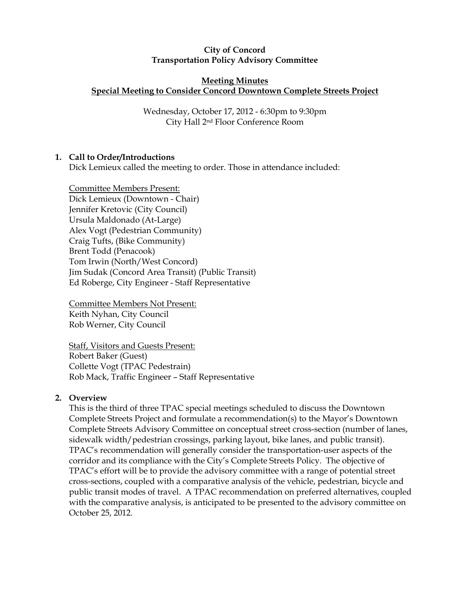#### City of Concord Transportation Policy Advisory Committee

#### Meeting Minutes Special Meeting to Consider Concord Downtown Complete Streets Project

Wednesday, October 17, 2012 - 6:30pm to 9:30pm City Hall 2nd Floor Conference Room

# 1. Call to Order/Introductions

Dick Lemieux called the meeting to order. Those in attendance included:

Committee Members Present: Dick Lemieux (Downtown - Chair) Jennifer Kretovic (City Council) Ursula Maldonado (At-Large) Alex Vogt (Pedestrian Community) Craig Tufts, (Bike Community) Brent Todd (Penacook) Tom Irwin (North/West Concord) Jim Sudak (Concord Area Transit) (Public Transit) Ed Roberge, City Engineer - Staff Representative

Committee Members Not Present: Keith Nyhan, City Council Rob Werner, City Council

Staff, Visitors and Guests Present: Robert Baker (Guest) Collette Vogt (TPAC Pedestrain) Rob Mack, Traffic Engineer – Staff Representative

## 2. Overview

This is the third of three TPAC special meetings scheduled to discuss the Downtown Complete Streets Project and formulate a recommendation(s) to the Mayor's Downtown Complete Streets Advisory Committee on conceptual street cross-section (number of lanes, sidewalk width/pedestrian crossings, parking layout, bike lanes, and public transit). TPAC's recommendation will generally consider the transportation-user aspects of the corridor and its compliance with the City's Complete Streets Policy. The objective of TPAC's effort will be to provide the advisory committee with a range of potential street cross-sections, coupled with a comparative analysis of the vehicle, pedestrian, bicycle and public transit modes of travel. A TPAC recommendation on preferred alternatives, coupled with the comparative analysis, is anticipated to be presented to the advisory committee on October 25, 2012.